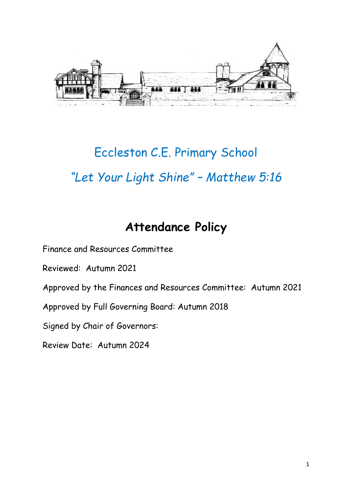

# Eccleston C.E. Primary School *"Let Your Light Shine" – Matthew 5:16*

# **Attendance Policy**

Finance and Resources Committee

Reviewed: Autumn 2021

Approved by the Finances and Resources Committee: Autumn 2021

Approved by Full Governing Board: Autumn 2018

Signed by Chair of Governors:

Review Date: Autumn 2024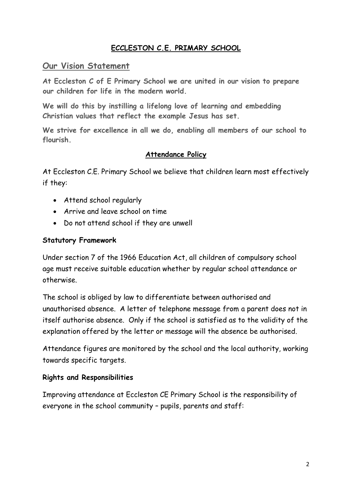## **ECCLESTON C.E. PRIMARY SCHOOL**

#### **Our Vision Statement**

**At Eccleston C of E Primary School we are united in our vision to prepare our children for life in the modern world.**

**We will do this by instilling a lifelong love of learning and embedding Christian values that reflect the example Jesus has set.**

**We strive for excellence in all we do, enabling all members of our school to flourish.**

#### **Attendance Policy**

At Eccleston C.E. Primary School we believe that children learn most effectively if they:

- Attend school regularly
- Arrive and leave school on time
- Do not attend school if they are unwell

#### **Statutory Framework**

Under section 7 of the 1966 Education Act, all children of compulsory school age must receive suitable education whether by regular school attendance or otherwise.

The school is obliged by law to differentiate between authorised and unauthorised absence. A letter of telephone message from a parent does not in itself authorise absence. Only if the school is satisfied as to the validity of the explanation offered by the letter or message will the absence be authorised.

Attendance figures are monitored by the school and the local authority, working towards specific targets.

#### **Rights and Responsibilities**

Improving attendance at Eccleston CE Primary School is the responsibility of everyone in the school community – pupils, parents and staff: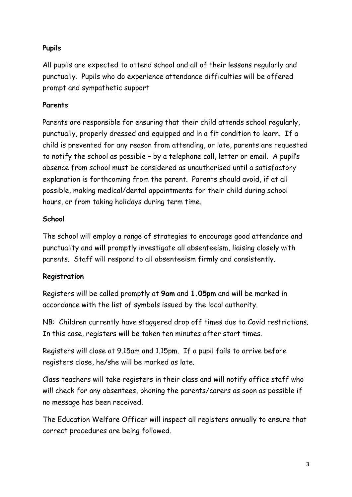# **Pupils**

All pupils are expected to attend school and all of their lessons regularly and punctually. Pupils who do experience attendance difficulties will be offered prompt and sympathetic support

### **Parents**

Parents are responsible for ensuring that their child attends school regularly, punctually, properly dressed and equipped and in a fit condition to learn. If a child is prevented for any reason from attending, or late, parents are requested to notify the school as possible – by a telephone call, letter or email. A pupil's absence from school must be considered as unauthorised until a satisfactory explanation is forthcoming from the parent. Parents should avoid, if at all possible, making medical/dental appointments for their child during school hours, or from taking holidays during term time.

### **School**

The school will employ a range of strategies to encourage good attendance and punctuality and will promptly investigate all absenteeism, liaising closely with parents. Staff will respond to all absenteeism firmly and consistently.

# **Registration**

Registers will be called promptly at **9am** and **1.05pm** and will be marked in accordance with the list of symbols issued by the local authority.

NB: Children currently have staggered drop off times due to Covid restrictions. In this case, registers will be taken ten minutes after start times.

Registers will close at 9.15am and 1.15pm. If a pupil fails to arrive before registers close, he/she will be marked as late.

Class teachers will take registers in their class and will notify office staff who will check for any absentees, phoning the parents/carers as soon as possible if no message has been received.

The Education Welfare Officer will inspect all registers annually to ensure that correct procedures are being followed.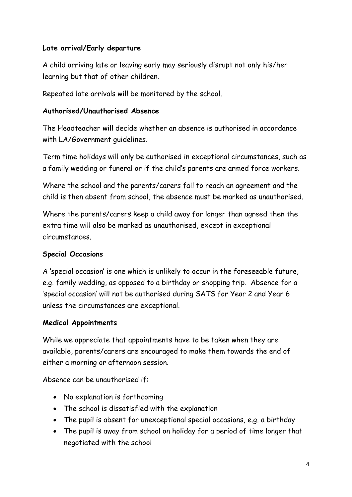## **Late arrival/Early departure**

A child arriving late or leaving early may seriously disrupt not only his/her learning but that of other children.

Repeated late arrivals will be monitored by the school.

#### **Authorised/Unauthorised Absence**

The Headteacher will decide whether an absence is authorised in accordance with LA/Government guidelines.

Term time holidays will only be authorised in exceptional circumstances, such as a family wedding or funeral or if the child's parents are armed force workers.

Where the school and the parents/carers fail to reach an agreement and the child is then absent from school, the absence must be marked as unauthorised.

Where the parents/carers keep a child away for longer than agreed then the extra time will also be marked as unauthorised, except in exceptional circumstances.

#### **Special Occasions**

A 'special occasion' is one which is unlikely to occur in the foreseeable future, e.g. family wedding, as opposed to a birthday or shopping trip. Absence for a 'special occasion' will not be authorised during SATS for Year 2 and Year 6 unless the circumstances are exceptional.

#### **Medical Appointments**

While we appreciate that appointments have to be taken when they are available, parents/carers are encouraged to make them towards the end of either a morning or afternoon session.

Absence can be unauthorised if:

- No explanation is forthcoming
- The school is dissatisfied with the explanation
- The pupil is absent for unexceptional special occasions, e.g. a birthday
- The pupil is away from school on holiday for a period of time longer that negotiated with the school